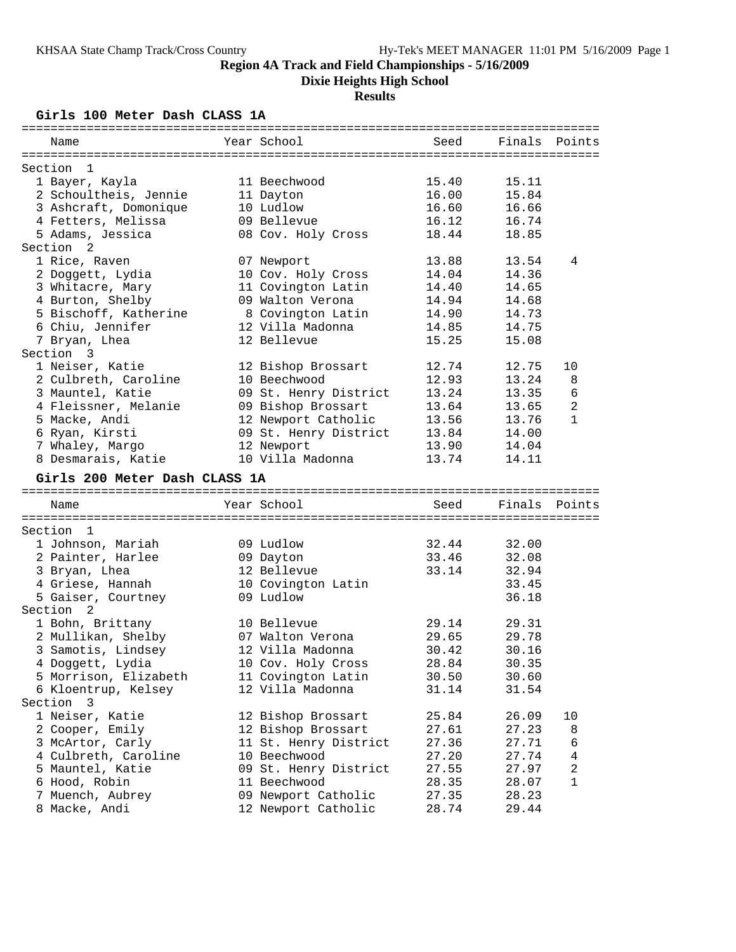## **Dixie Heights High School**

### **Results**

### **Girls 100 Meter Dash CLASS 1A**

| Name                              | Year School                                | Seed           | Finals         | Points |
|-----------------------------------|--------------------------------------------|----------------|----------------|--------|
|                                   |                                            |                |                |        |
| Section<br>-1                     |                                            |                |                |        |
| 1 Bayer, Kayla                    | 11 Beechwood                               | 15.40          | 15.11          |        |
| 2 Schoultheis, Jennie             | 11 Dayton                                  | 16.00          | 15.84          |        |
| 3 Ashcraft, Domonique             | 10 Ludlow                                  | 16.60          | 16.66          |        |
| 4 Fetters, Melissa                | 09 Bellevue                                | 16.12          | 16.74          |        |
| 5 Adams, Jessica                  | 08 Cov. Holy Cross                         | 18.44          | 18.85          |        |
| Section <sub>2</sub>              |                                            |                |                |        |
| 1 Rice, Raven                     | 07 Newport                                 | 13.88          | 13.54          | 4      |
| 2 Doggett, Lydia                  | 10 Cov. Holy Cross                         | 14.04          | 14.36          |        |
| 3 Whitacre, Mary                  | 11 Covington Latin                         | 14.40          | 14.65          |        |
| 4 Burton, Shelby                  | 09 Walton Verona                           | 14.94          | 14.68          |        |
| 5 Bischoff, Katherine             | 8 Covington Latin                          | 14.90          | 14.73          |        |
| 6 Chiu, Jennifer                  | 12 Villa Madonna                           | 14.85          | 14.75          |        |
| 7 Bryan, Lhea                     | 12 Bellevue                                | 15.25          | 15.08          |        |
| Section 3                         |                                            |                |                |        |
| 1 Neiser, Katie                   | 12 Bishop Brossart                         | 12.74          | 12.75          | 10     |
| 2 Culbreth, Caroline              | 10 Beechwood                               | 12.93          | 13.24          | 8      |
| 3 Mauntel, Katie                  | 09 St. Henry District                      | 13.24          | 13.35          | 6      |
| 4 Fleissner, Melanie              | 09 Bishop Brossart                         | 13.64          | 13.65          | 2      |
| 5 Macke, Andi                     | 12 Newport Catholic                        | 13.56          | 13.76          | 1      |
| 6 Ryan, Kirsti                    | 09 St. Henry District                      | 13.84          | 14.00          |        |
| 7 Whaley, Margo                   | 12 Newport                                 | 13.90          | 14.04          |        |
| 8 Desmarais, Katie                | 10 Villa Madonna                           | 13.74          | 14.11          |        |
|                                   |                                            |                |                |        |
| Girls 200 Meter Dash CLASS 1A     |                                            |                |                |        |
| Name                              | Year School                                | Seed           | Finals         | Points |
|                                   |                                            |                |                |        |
| Section<br>1                      |                                            |                |                |        |
| 1 Johnson, Mariah                 | 09 Ludlow                                  | 32.44          | 32.00          |        |
| 2 Painter, Harlee                 | 09 Dayton                                  | 33.46          | 32.08          |        |
| 3 Bryan, Lhea                     | 12 Bellevue                                | 33.14          | 32.94          |        |
| 4 Griese, Hannah                  | 10 Covington Latin                         |                | 33.45          |        |
| 5 Gaiser, Courtney                | 09 Ludlow                                  |                | 36.18          |        |
| Section 2                         |                                            |                |                |        |
| 1 Bohn, Brittany                  | 10 Bellevue                                | 29.14          | 29.31          |        |
| 2 Mullikan, Shelby                | 07 Walton Verona                           | 29.65          | 29.78          |        |
| 3 Samotis, Lindsey                | 12 Villa Madonna                           | 30.42          | 30.16          |        |
| 4 Doggett, Lydia                  | 10 Cov. Holy Cross                         | 28.84          | 30.35          |        |
| 5 Morrison, Elizabeth             | 11 Covington Latin                         | 30.50          | 30.60          |        |
| 6 Kloentrup, Kelsey               | 12 Villa Madonna                           | 31.14          | 31.54          |        |
| Section<br>- 3                    |                                            |                |                |        |
| 1 Neiser, Katie                   | 12 Bishop Brossart                         | 25.84          | 26.09          | 10     |
| 2 Cooper, Emily                   | 12 Bishop Brossart                         | 27.61          | 27.23          | 8      |
| 3 McArtor, Carly                  | 11 St. Henry District                      | 27.36          | 27.71          | 6      |
| 4 Culbreth, Caroline              | 10 Beechwood                               | 27.20          | 27.74          | 4      |
|                                   |                                            |                |                |        |
|                                   |                                            |                |                |        |
| 5 Mauntel, Katie                  | 09 St. Henry District                      | 27.55          | 27.97          | 2      |
| 6 Hood, Robin                     | 11 Beechwood                               | 28.35          | 28.07          | 1      |
| 7 Muench, Aubrey<br>8 Macke, Andi | 09 Newport Catholic<br>12 Newport Catholic | 27.35<br>28.74 | 28.23<br>29.44 |        |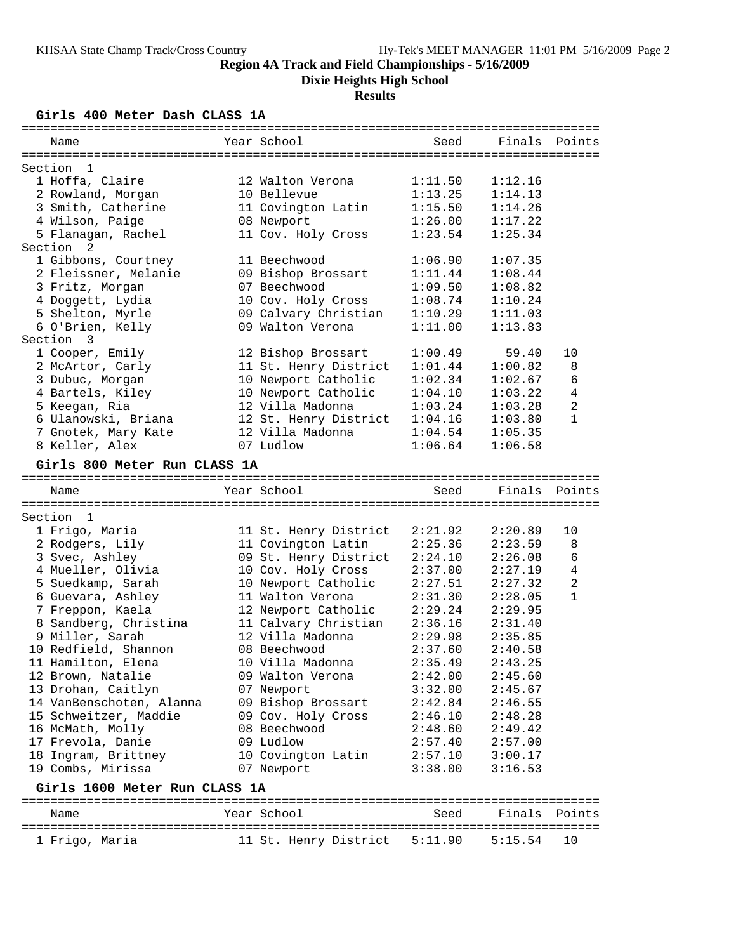**Dixie Heights High School**

## **Results**

**Girls 400 Meter Dash CLASS 1A**

| Name                               | Year School                              | Seed               | Finals             | Points         |
|------------------------------------|------------------------------------------|--------------------|--------------------|----------------|
|                                    |                                          |                    |                    |                |
| Section<br>$\mathbf{1}$            | 12 Walton Verona                         |                    |                    |                |
| 1 Hoffa, Claire                    | 10 Bellevue                              | 1:11.50<br>1:13.25 | 1:12.16            |                |
| 2 Rowland, Morgan                  |                                          |                    | 1:14.13            |                |
| 3 Smith, Catherine                 | 11 Covington Latin                       | 1:15.50            | 1:14.26<br>1:17.22 |                |
| 4 Wilson, Paige                    | 08 Newport<br>11 Cov. Holy Cross         | 1:26.00<br>1:23.54 |                    |                |
| 5 Flanagan, Rachel<br>Section<br>2 |                                          |                    | 1:25.34            |                |
| 1 Gibbons, Courtney                | 11 Beechwood                             | 1:06.90            | 1:07.35            |                |
| 2 Fleissner, Melanie               |                                          | 1:11.44            |                    |                |
|                                    | 09 Bishop Brossart<br>07 Beechwood       |                    | 1:08.44            |                |
| 3 Fritz, Morgan                    |                                          | 1:09.50            | 1:08.82            |                |
| 4 Doggett, Lydia                   | 10 Cov. Holy Cross                       | 1:08.74            | 1:10.24            |                |
| 5 Shelton, Myrle                   | 09 Calvary Christian<br>09 Walton Verona | 1:10.29            | 1:11.03            |                |
| 6 O'Brien, Kelly                   |                                          | 1:11.00            | 1:13.83            |                |
| Section<br>3                       |                                          |                    |                    |                |
| 1 Cooper, Emily                    | 12 Bishop Brossart                       | 1:00.49            | 59.40              | 10             |
| 2 McArtor, Carly                   | 11 St. Henry District                    | 1:01.44            | 1:00.82            | 8              |
| 3 Dubuc, Morgan                    | 10 Newport Catholic                      | 1:02.34            | 1:02.67<br>1:03.22 | 6<br>4         |
| 4 Bartels, Kiley                   | 10 Newport Catholic                      | 1:04.10            |                    |                |
| 5 Keegan, Ria                      | 12 Villa Madonna                         | 1:03.24            | 1:03.28            | $\overline{2}$ |
| 6 Ulanowski, Briana                | 12 St. Henry District                    | 1:04.16            | 1:03.80            | $\mathbf{1}$   |
| 7 Gnotek, Mary Kate                | 12 Villa Madonna                         | 1:04.54            | 1:05.35            |                |
| 8 Keller, Alex                     | 07 Ludlow                                | 1:06.64            | 1:06.58            |                |
| Girls 800 Meter Run CLASS 1A       |                                          |                    |                    |                |
| Name                               | Year School                              | Seed               | Finals             | Points         |
|                                    |                                          |                    |                    |                |
| Section 1                          |                                          |                    |                    |                |
| 1 Frigo, Maria                     | 11 St. Henry District                    | 2:21.92            | 2:20.89            | 10             |
| 2 Rodgers, Lily                    | 11 Covington Latin                       | 2:25.36            | 2:23.59            | 8              |
| 3 Svec, Ashley                     | 09 St. Henry District                    | 2:24.10            | 2:26.08            | $\sqrt{6}$     |
| 4 Mueller, Olivia                  | 10 Cov. Holy Cross                       | 2:37.00            | 2:27.19            | $\overline{4}$ |
| 5 Suedkamp, Sarah                  | 10 Newport Catholic                      | 2:27.51            | 2:27.32            | $\overline{2}$ |
| 6 Guevara, Ashley                  | 11 Walton Verona                         | 2:31.30            | 2:28.05            | $\mathbf{1}$   |
| 7 Freppon, Kaela                   | 12 Newport Catholic                      | 2:29.24            | 2:29.95            |                |
| 8 Sandberg, Christina              | 11 Calvary Christian                     | 2:36.16            | 2:31.40            |                |
| 9 Miller, Sarah                    | 12 Villa Madonna                         | 2:29.98            | 2:35.85            |                |
| 10 Redfield, Shannon               | 08 Beechwood                             | 2:37.60            | 2:40.58            |                |
| 11 Hamilton, Elena                 | 10 Villa Madonna                         | 2:35.49            | 2:43.25            |                |
| 12 Brown, Natalie                  | 09 Walton Verona                         | 2:42.00            | 2:45.60            |                |
| 13 Drohan, Caitlyn                 | 07 Newport                               | 3:32.00            | 2:45.67            |                |
| 14 VanBenschoten, Alanna           | 09 Bishop Brossart                       | 2:42.84            | 2:46.55            |                |
| 15 Schweitzer, Maddie              | 09 Cov. Holy Cross                       | 2:46.10            | 2:48.28            |                |
| 16 McMath, Molly                   | 08 Beechwood                             | 2:48.60            | 2:49.42            |                |
| 17 Frevola, Danie                  | 09 Ludlow                                | 2:57.40            | 2:57.00            |                |
| 18 Ingram, Brittney                | 10 Covington Latin                       | 2:57.10            | 3:00.17            |                |
| 19 Combs, Mirissa                  | 07 Newport                               | 3:38.00            | 3:16.53            |                |
| Girls 1600 Meter Run CLASS 1A      |                                          |                    |                    |                |
| Name                               | Year School                              | Seed               |                    | Finals Points  |
| 1 Frigo, Maria                     | 11 St. Henry District 5:11.90            |                    | 5:15.54            | 10             |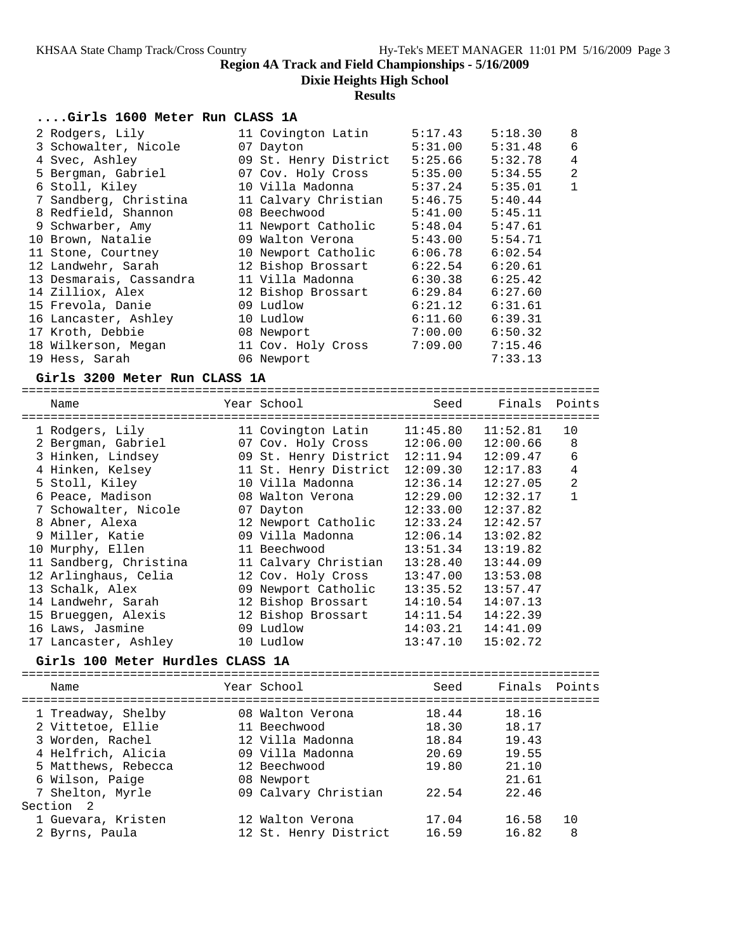**Dixie Heights High School**

#### **Results**

#### **....Girls 1600 Meter Run CLASS 1A**

| 2 Rodgers, Lily         | 11 Covington Latin    | 5:17.43 | 5:18.30 | 8              |
|-------------------------|-----------------------|---------|---------|----------------|
| 3 Schowalter, Nicole    | 07 Dayton             | 5:31.00 | 5:31.48 | 6              |
| 4 Svec, Ashley          | 09 St. Henry District | 5:25.66 | 5:32.78 | $\overline{4}$ |
| 5 Bergman, Gabriel      | 07 Cov. Holy Cross    | 5:35.00 | 5:34.55 | $\overline{2}$ |
| 6 Stoll, Kiley          | 10 Villa Madonna      | 5:37.24 | 5:35.01 | $\mathbf 1$    |
| 7 Sandberg, Christina   | 11 Calvary Christian  | 5:46.75 | 5:40.44 |                |
| 8 Redfield, Shannon     | 08 Beechwood          | 5:41.00 | 5:45.11 |                |
| 9 Schwarber, Amy        | 11 Newport Catholic   | 5:48.04 | 5:47.61 |                |
| 10 Brown, Natalie       | 09 Walton Verona      | 5:43.00 | 5:54.71 |                |
| 11 Stone, Courtney      | 10 Newport Catholic   | 6:06.78 | 6:02.54 |                |
| 12 Landwehr, Sarah      | 12 Bishop Brossart    | 6:22.54 | 6:20.61 |                |
| 13 Desmarais, Cassandra | 11 Villa Madonna      | 6:30.38 | 6:25.42 |                |
| 14 Zilliox, Alex        | 12 Bishop Brossart    | 6:29.84 | 6:27.60 |                |
| 15 Frevola, Danie       | 09 Ludlow             | 6:21.12 | 6:31.61 |                |
| 16 Lancaster, Ashley    | 10 Ludlow             | 6:11.60 | 6:39.31 |                |
| 17 Kroth, Debbie        | 08 Newport            | 7:00.00 | 6:50.32 |                |
| 18 Wilkerson, Megan     | 11 Cov. Holy Cross    | 7:09.00 | 7:15.46 |                |
| 19 Hess, Sarah          | 06 Newport            |         | 7:33.13 |                |

#### **Girls 3200 Meter Run CLASS 1A**

================================================================================

| Name<br>====================== | Year School           | Seed                  | Finals Points |                |
|--------------------------------|-----------------------|-----------------------|---------------|----------------|
| 1 Rodgers, Lily                | 11 Covington Latin    | $11:45.80$ $11:52.81$ |               | 10             |
| 2 Bergman, Gabriel             | 07 Cov. Holy Cross    | 12:06.00              | 12:00.66      | 8              |
| 3 Hinken, Lindsey              | 09 St. Henry District | 12:11.94              | 12:09.47      | 6              |
| 4 Hinken, Kelsey               | 11 St. Henry District | 12:09.30              | 12:17.83      | $\overline{4}$ |
| 5 Stoll, Kiley                 | 10 Villa Madonna      | 12:36.14              | 12:27.05      | $\mathfrak{D}$ |
| 6 Peace, Madison               | 08 Walton Verona      | 12:29.00              | 12:32.17      |                |
| 7 Schowalter, Nicole           | 07 Dayton             | 12:33.00              | 12:37.82      |                |
| 8 Abner, Alexa                 | 12 Newport Catholic   | 12:33.24              | 12:42.57      |                |
| 9 Miller, Katie                | 09 Villa Madonna      | 12:06.14              | 13:02.82      |                |
| 10 Murphy, Ellen               | 11 Beechwood          | 13:51.34              | 13:19.82      |                |
| 11 Sandberg, Christina         | 11 Calvary Christian  | 13:28.40              | 13:44.09      |                |
| 12 Arlinghaus, Celia           | 12 Cov. Holy Cross    | 13:47.00              | 13:53.08      |                |
| 13 Schalk, Alex                | 09 Newport Catholic   | 13:35.52              | 13:57.47      |                |
| 14 Landwehr, Sarah             | 12 Bishop Brossart    | 14:10.54              | 14:07.13      |                |
| 15 Brueggen, Alexis            | 12 Bishop Brossart    | 14:11.54              | 14:22.39      |                |
| 16 Laws, Jasmine               | 09 Ludlow             | 14:03.21              | 14:41.09      |                |
| 17 Lancaster, Ashley           | 10 Ludlow             | 13:47.10              | 15:02.72      |                |
|                                |                       |                       |               |                |

#### **Girls 100 Meter Hurdles CLASS 1A**

================================================================================ Name The Year School Seed Finals Points ================================================================================ 1 Treadway, Shelby 08 Walton Verona 18.44 18.16 2 Vittetoe, Ellie 11 Beechwood 18.30 18.17 3 Worden, Rachel 12 Villa Madonna 18.84 19.43 4 Helfrich, Alicia 09 Villa Madonna 20.69 19.55 5 Matthews, Rebecca 12 Beechwood 19.80 21.10 6 Wilson, Paige 08 Newport 21.61 7 Shelton, Myrle 09 Calvary Christian 22.54 22.46 Section 2 1 Guevara, Kristen 12 Walton Verona 17.04 16.58 10 2 Byrns, Paula 12 St. Henry District 16.59 16.82 8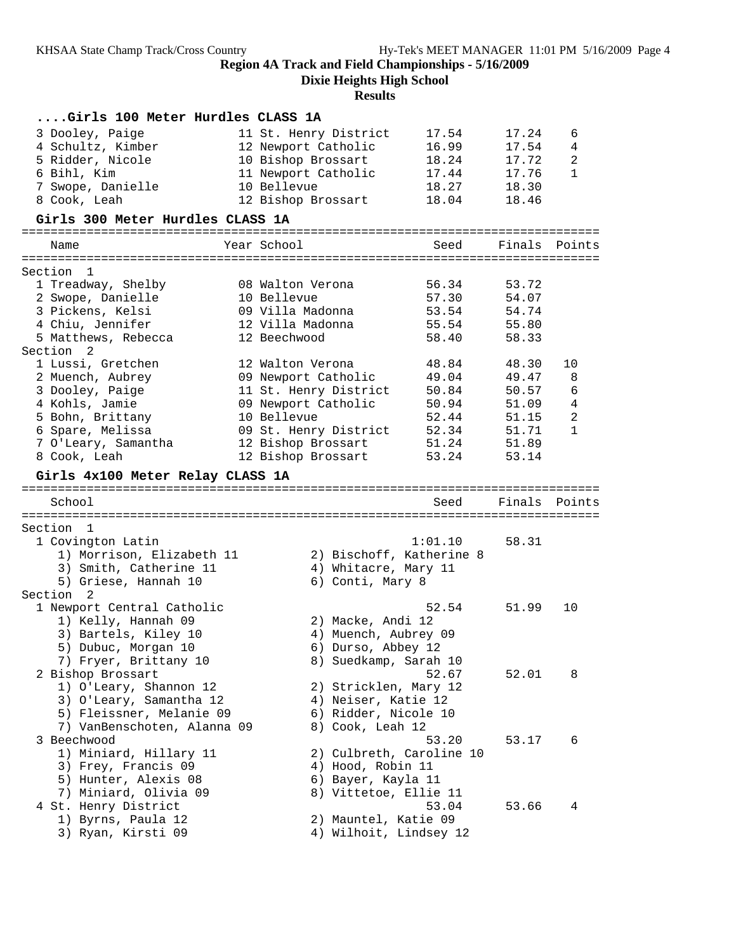**Dixie Heights High School**

# **Results**

| Girls 100 Meter Hurdles CLASS 1A           |              |                                                |         |               |              |
|--------------------------------------------|--------------|------------------------------------------------|---------|---------------|--------------|
| 3 Dooley, Paige                            |              | 11 St. Henry District                          | 17.54   | 17.24         | 6            |
| 4 Schultz, Kimber                          |              | 12 Newport Catholic                            | 16.99   | 17.54         | 4            |
| 5 Ridder, Nicole                           |              | 10 Bishop Brossart                             | 18.24   | 17.72         | 2            |
| 6 Bihl, Kim                                |              | 11 Newport Catholic                            | 17.44   | 17.76         | 1            |
| 7 Swope, Danielle                          | 10 Bellevue  |                                                | 18.27   | 18.30         |              |
| 8 Cook, Leah                               |              | 12 Bishop Brossart                             | 18.04   | 18.46         |              |
| Girls 300 Meter Hurdles CLASS 1A           |              |                                                |         |               |              |
|                                            |              |                                                |         |               |              |
| Name                                       | Year School  |                                                | Seed    | Finals        | Points       |
| Section 1                                  |              |                                                |         |               |              |
| 1 Treadway, Shelby                         |              | 08 Walton Verona                               | 56.34   | 53.72         |              |
| 2 Swope, Danielle                          | 10 Bellevue  |                                                | 57.30   | 54.07         |              |
| 3 Pickens, Kelsi                           |              | 09 Villa Madonna                               | 53.54   | 54.74         |              |
| 4 Chiu, Jennifer                           |              | 12 Villa Madonna                               | 55.54   | 55.80         |              |
| 5 Matthews, Rebecca                        | 12 Beechwood |                                                | 58.40   | 58.33         |              |
| Section<br>-2                              |              |                                                |         |               |              |
| 1 Lussi, Gretchen                          |              | 12 Walton Verona                               | 48.84   | 48.30         | 10           |
| 2 Muench, Aubrey                           |              | 09 Newport Catholic                            | 49.04   | 49.47         | 8            |
| 3 Dooley, Paige                            |              | 11 St. Henry District                          | 50.84   | 50.57         | 6            |
| 4 Kohls, Jamie                             |              | 09 Newport Catholic                            | 50.94   | 51.09         | 4            |
| 5 Bohn, Brittany                           | 10 Bellevue  |                                                | 52.44   | 51.15         | 2            |
| 6 Spare, Melissa                           |              | 09 St. Henry District                          | 52.34   | 51.71         | $\mathbf{1}$ |
| 7 O'Leary, Samantha                        |              | 12 Bishop Brossart                             | 51.24   | 51.89         |              |
| 8 Cook, Leah                               |              | 12 Bishop Brossart                             | 53.24   | 53.14         |              |
| Girls 4x100 Meter Relay CLASS 1A           |              |                                                |         |               |              |
|                                            |              |                                                |         |               |              |
|                                            |              |                                                |         |               |              |
| School                                     |              |                                                | Seed    | Finals Points |              |
|                                            |              |                                                |         |               |              |
| Section 1                                  |              |                                                |         |               |              |
| 1 Covington Latin                          |              |                                                | 1:01.10 | 58.31         |              |
| 1) Morrison, Elizabeth 11                  |              | 2) Bischoff, Katherine 8                       |         |               |              |
| 3) Smith, Catherine 11                     |              | 4) Whitacre, Mary 11                           |         |               |              |
| 5) Griese, Hannah 10                       |              | 6) Conti, Mary 8                               |         |               |              |
| Section 2                                  |              |                                                |         |               | 10           |
| 1 Newport Central Catholic                 |              |                                                | 52.54   | 51.99         |              |
| 1) Kelly, Hannah 09                        |              | 2) Macke, Andi 12                              |         |               |              |
| 3) Bartels, Kiley 10                       |              | 4) Muench, Aubrey 09                           |         |               |              |
| 5) Dubuc, Morgan 10                        |              | 6) Durso, Abbey 12<br>8) Suedkamp, Sarah 10    |         |               |              |
| 7) Fryer, Brittany 10<br>2 Bishop Brossart |              |                                                | 52.67   | 52.01         | 8            |
| 1) O'Leary, Shannon 12                     |              | 2) Stricklen, Mary 12                          |         |               |              |
| 3) O'Leary, Samantha 12                    |              | 4) Neiser, Katie 12                            |         |               |              |
| 5) Fleissner, Melanie 09                   |              | 6) Ridder, Nicole 10                           |         |               |              |
| 7) VanBenschoten, Alanna 09                |              | 8) Cook, Leah 12                               |         |               |              |
| 3 Beechwood                                |              |                                                | 53.20   | 53.17         | 6            |
| 1) Miniard, Hillary 11                     |              | 2) Culbreth, Caroline 10                       |         |               |              |
| 3) Frey, Francis 09                        |              | 4) Hood, Robin 11                              |         |               |              |
| 5) Hunter, Alexis 08                       |              | 6) Bayer, Kayla 11                             |         |               |              |
| 7) Miniard, Olivia 09                      |              | 8) Vittetoe, Ellie 11                          |         |               |              |
| 4 St. Henry District                       |              |                                                | 53.04   | 53.66         | 4            |
| 1) Byrns, Paula 12<br>3) Ryan, Kirsti 09   |              | 2) Mauntel, Katie 09<br>4) Wilhoit, Lindsey 12 |         |               |              |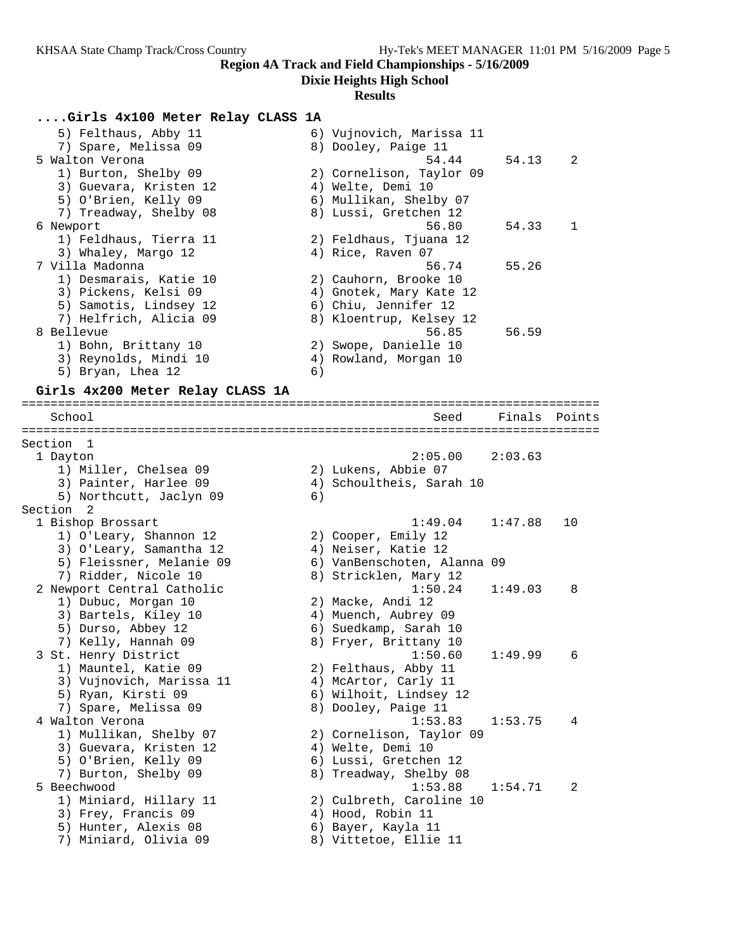#### **Dixie Heights High School**

#### **Results**

#### **....Girls 4x100 Meter Relay CLASS 1A**

| 5) Felthaus, Abby 11   |    | 6) Vujnovich, Marissa 11 |       |                            |
|------------------------|----|--------------------------|-------|----------------------------|
| 7) Spare, Melissa 09   |    | 8) Dooley, Paige 11      |       |                            |
| 5 Walton Verona        |    | 54.44                    | 54.13 | $\overline{\phantom{0}}^2$ |
| 1) Burton, Shelby 09   |    | 2) Cornelison, Taylor 09 |       |                            |
| 3) Guevara, Kristen 12 |    | 4) Welte, Demi 10        |       |                            |
| 5) O'Brien, Kelly 09   |    | 6) Mullikan, Shelby 07   |       |                            |
| 7) Treadway, Shelby 08 |    | 8) Lussi, Gretchen 12    |       |                            |
| 6 Newport              |    | 56.80                    | 54.33 | -1                         |
| 1) Feldhaus, Tierra 11 |    | 2) Feldhaus, Tjuana 12   |       |                            |
| 3) Whaley, Margo 12    |    | 4) Rice, Raven 07        |       |                            |
| 7 Villa Madonna        |    | 56.74                    | 55.26 |                            |
| 1) Desmarais, Katie 10 |    | 2) Cauhorn, Brooke 10    |       |                            |
| 3) Pickens, Kelsi 09   |    | 4) Gnotek, Mary Kate 12  |       |                            |
| 5) Samotis, Lindsey 12 |    | 6) Chiu, Jennifer 12     |       |                            |
| 7) Helfrich, Alicia 09 |    | 8) Kloentrup, Kelsey 12  |       |                            |
| 8 Bellevue             |    | 56.85                    | 56.59 |                            |
| 1) Bohn, Brittany 10   |    | 2) Swope, Danielle 10    |       |                            |
| 3) Reynolds, Mindi 10  |    | 4) Rowland, Morgan 10    |       |                            |
| 5) Bryan, Lhea 12      | 6) |                          |       |                            |
|                        |    |                          |       |                            |

#### **Girls 4x200 Meter Relay CLASS 1A**

================================================================================ School Seed Finals Points ================================================================================ Section 1 1 Dayton 2:05.00 2:03.63 1) Miller, Chelsea 09 2) Lukens, Abbie 07 3) Painter, Harlee 09  $\hskip1cm 4)$  Schoultheis, Sarah 10 5) Northcutt, Jaclyn 09 6) Section 2<br>1 Bishop Brossart 1 Bishop Brossart 1:49.04 1:47.88 10 1) O'Leary, Shannon 12 2) Cooper, Emily 12 3) O'Leary, Samantha 12 4) Neiser, Katie 12 5) Fleissner, Melanie 09 6) VanBenschoten, Alanna 09 7) Ridder, Nicole 10 8) Stricklen, Mary 12 2 Newport Central Catholic 1:50.24 1:49.03 8 1) Dubuc, Morgan 10 2) Macke, Andi 12 3) Bartels, Kiley 10 4) Muench, Aubrey 09 5) Durso, Abbey 12 6) Suedkamp, Sarah 10 7) Kelly, Hannah 09 8) Fryer, Brittany 10 3 St. Henry District 1:50.60 1:49.99 6 1) Mauntel, Katie 09 2) Felthaus, Abby 11 3) Vujnovich, Marissa 11  $\hskip10mm$  4) McArtor, Carly 11 5) Ryan, Kirsti 09 6) Wilhoit, Lindsey 12 7) Spare, Melissa 09 8) Dooley, Paige 11 4 Walton Verona 1:53.83 1:53.75 4 1) Mullikan, Shelby 07 2) Cornelison, Taylor 09 3) Guevara, Kristen 12 (4) Welte, Demi 10 5) O'Brien, Kelly 09 6) Lussi, Gretchen 12 7) Burton, Shelby 09 8) Treadway, Shelby 08 5 Beechwood 1:53.88 1:54.71 2 1) Miniard, Hillary 11 2) Culbreth, Caroline 10 3) Frey, Francis 09 (4) Hood, Robin 11 5) Hunter, Alexis 08 6) Bayer, Kayla 11 7) Miniard, Olivia 09 8) Vittetoe, Ellie 11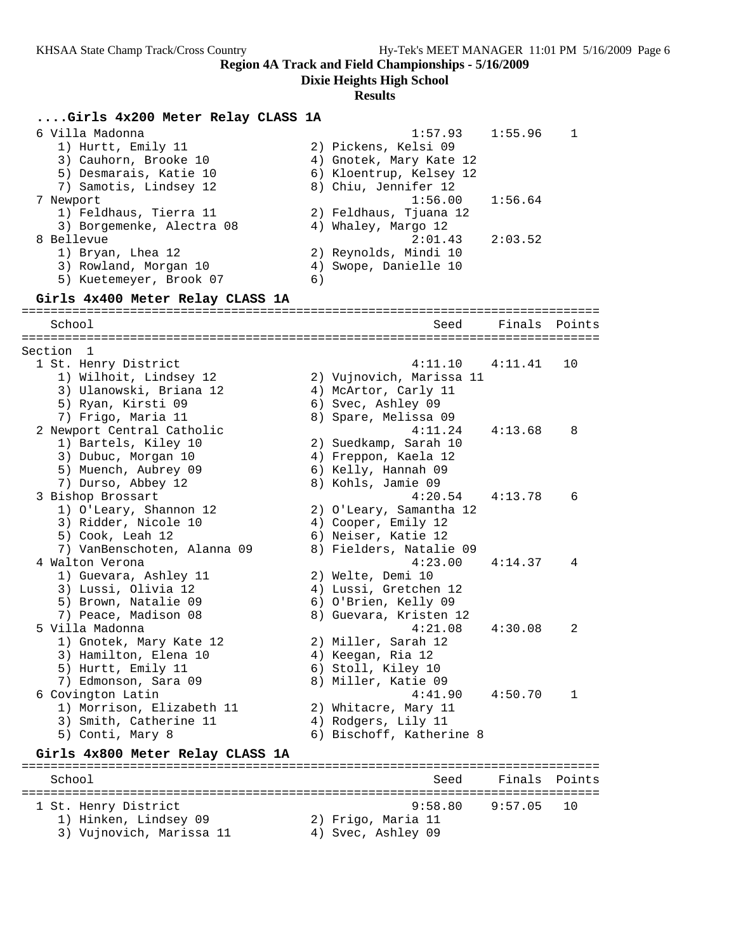**Dixie Heights High School**

# **Results**

| Girls 4x200 Meter Relay CLASS 1A                                                                                        |    |                                                                                                               |         |        |
|-------------------------------------------------------------------------------------------------------------------------|----|---------------------------------------------------------------------------------------------------------------|---------|--------|
| 6 Villa Madonna<br>1) Hurtt, Emily 11<br>3) Cauhorn, Brooke 10<br>5) Desmarais, Katie 10<br>7) Samotis, Lindsey 12      |    | 1:57.93<br>2) Pickens, Kelsi 09<br>4) Gnotek, Mary Kate 12<br>6) Kloentrup, Kelsey 12<br>8) Chiu, Jennifer 12 | 1:55.96 | 1      |
| 7 Newport<br>1) Feldhaus, Tierra 11<br>3) Borgemenke, Alectra 08                                                        |    | 1:56.00<br>2) Feldhaus, Tjuana 12<br>4) Whaley, Margo 12                                                      | 1:56.64 |        |
| 8 Bellevue<br>1) Bryan, Lhea 12<br>3) Rowland, Morgan 10<br>5) Kuetemeyer, Brook 07                                     | 6) | 2:01.43<br>2) Reynolds, Mindi 10<br>4) Swope, Danielle 10                                                     | 2:03.52 |        |
| Girls 4x400 Meter Relay CLASS 1A                                                                                        |    |                                                                                                               |         |        |
| School                                                                                                                  |    | Seed                                                                                                          | Finals  | Points |
| Section 1                                                                                                               |    |                                                                                                               |         |        |
| 1 St. Henry District<br>1) Wilhoit, Lindsey 12<br>3) Ulanowski, Briana 12<br>5) Ryan, Kirsti 09<br>7) Frigo, Maria 11   |    | 4:11.10<br>2) Vujnovich, Marissa 11<br>4) McArtor, Carly 11<br>6) Svec, Ashley 09<br>8) Spare, Melissa 09     | 4:11.41 | 10     |
| 2 Newport Central Catholic<br>1) Bartels, Kiley 10<br>3) Dubuc, Morgan 10<br>5) Muench, Aubrey 09<br>7) Durso, Abbey 12 |    | 4:11.24<br>2) Suedkamp, Sarah 10<br>4) Freppon, Kaela 12<br>6) Kelly, Hannah 09<br>8) Kohls, Jamie 09         | 4:13.68 | 8      |
| 3 Bishop Brossart<br>1) O'Leary, Shannon 12<br>3) Ridder, Nicole 10<br>5) Cook, Leah 12<br>7) VanBenschoten, Alanna 09  |    | 4:20.54<br>2) O'Leary, Samantha 12<br>4) Cooper, Emily 12<br>6) Neiser, Katie 12<br>8) Fielders, Natalie 09   | 4:13.78 | 6      |
| 4 Walton Verona<br>1) Guevara, Ashley 11<br>3) Lussi, Olivia 12<br>5) Brown, Natalie 09<br>7) Peace, Madison 08         |    | 4:23.00<br>2) Welte, Demi 10<br>4) Lussi, Gretchen 12<br>6) O'Brien, Kelly 09<br>8) Guevara, Kristen 12       | 4:14.37 | 4      |
| 5 Villa Madonna<br>1) Gnotek, Mary Kate 12<br>3) Hamilton, Elena 10<br>5) Hurtt, Emily 11<br>7) Edmonson, Sara 09       |    | 4:21.08<br>2) Miller, Sarah 12<br>4) Keegan, Ria 12<br>6) Stoll, Kiley 10<br>8) Miller, Katie 09              | 4:30.08 | 2      |
| 6 Covington Latin<br>1) Morrison, Elizabeth 11<br>3) Smith, Catherine 11<br>5) Conti, Mary 8                            |    | 4:41.90<br>2) Whitacre, Mary 11<br>4) Rodgers, Lily 11<br>6) Bischoff, Katherine 8                            | 4:50.70 | 1      |
| Girls 4x800 Meter Relay CLASS 1A                                                                                        |    |                                                                                                               |         |        |
| School                                                                                                                  |    | Seed                                                                                                          | Finals  | Points |
| 1 St. Henry District<br>1) Hinken, Lindsey 09<br>3) Vujnovich, Marissa 11                                               |    | 9:58.80<br>2) Frigo, Maria 11<br>4) Svec, Ashley 09                                                           | 9:57.05 | 10     |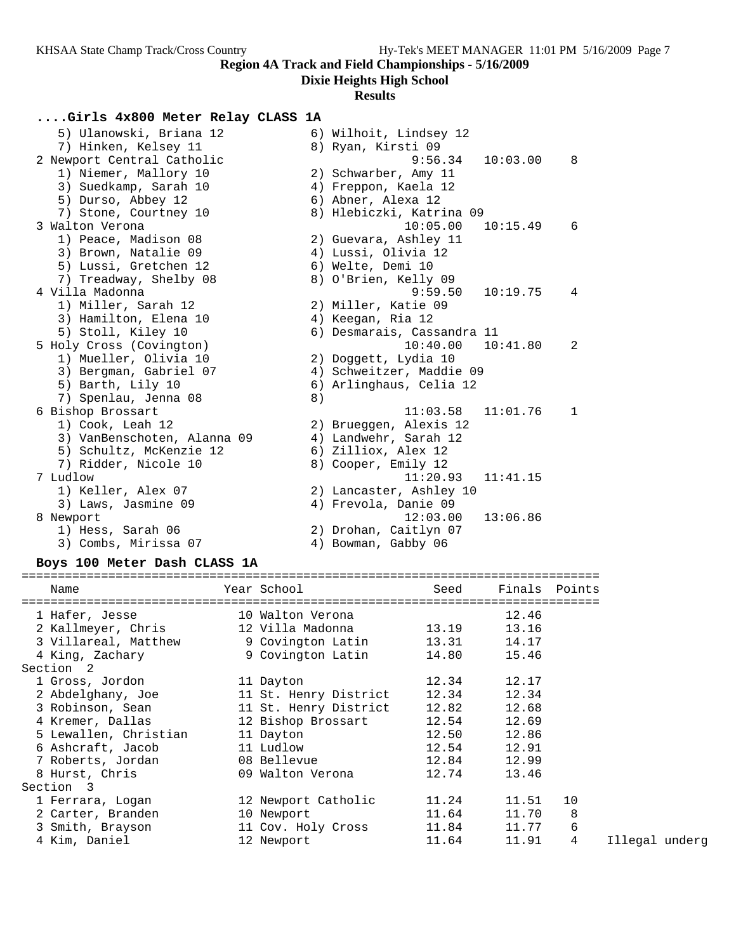# **Dixie Heights High School**

### **Results**

# **....Girls 4x800 Meter Relay CLASS 1A**

| 5) Ulanowski, Briana 12     |    | 6) Wilhoit, Lindsey 12     |          |              |
|-----------------------------|----|----------------------------|----------|--------------|
| 7) Hinken, Kelsey 11        |    | 8) Ryan, Kirsti 09         |          |              |
| 2 Newport Central Catholic  |    | 9:56.34                    | 10:03.00 | 8            |
| 1) Niemer, Mallory 10       |    | 2) Schwarber, Amy 11       |          |              |
| 3) Suedkamp, Sarah 10       |    | 4) Freppon, Kaela 12       |          |              |
| 5) Durso, Abbey 12          |    | 6) Abner, Alexa 12         |          |              |
| 7) Stone, Courtney 10       |    | 8) Hlebiczki, Katrina 09   |          |              |
| 3 Walton Verona             |    | 10:05.00                   | 10:15.49 | 6            |
| 1) Peace, Madison 08        |    | 2) Guevara, Ashley 11      |          |              |
| 3) Brown, Natalie 09        |    | 4) Lussi, Olivia 12        |          |              |
| 5) Lussi, Gretchen 12       |    | 6) Welte, Demi 10          |          |              |
| 7) Treadway, Shelby 08      |    | 8) O'Brien, Kelly 09       |          |              |
| 4 Villa Madonna             |    | 9:59.50                    | 10:19.75 | 4            |
| 1) Miller, Sarah 12         |    | 2) Miller, Katie 09        |          |              |
| 3) Hamilton, Elena 10       |    | 4) Keegan, Ria 12          |          |              |
| 5) Stoll, Kiley 10          |    | 6) Desmarais, Cassandra 11 |          |              |
| 5 Holy Cross (Covington)    |    | 10:40.00                   | 10:41.80 | 2            |
| 1) Mueller, Olivia 10       |    | 2) Doggett, Lydia 10       |          |              |
| 3) Bergman, Gabriel 07      |    | 4) Schweitzer, Maddie 09   |          |              |
| 5) Barth, Lily 10           |    | 6) Arlinghaus, Celia 12    |          |              |
| 7) Spenlau, Jenna 08        | 8) |                            |          |              |
| 6 Bishop Brossart           |    | 11:03.58                   | 11:01.76 | $\mathbf{1}$ |
| 1) Cook, Leah 12            |    | 2) Brueggen, Alexis 12     |          |              |
| 3) VanBenschoten, Alanna 09 |    | 4) Landwehr, Sarah 12      |          |              |
| 5) Schultz, McKenzie 12     |    | 6) Zilliox, Alex 12        |          |              |
| 7) Ridder, Nicole 10        |    | 8) Cooper, Emily 12        |          |              |
| 7 Ludlow                    |    | 11:20.93                   | 11:41.15 |              |
| 1) Keller, Alex 07          |    | 2) Lancaster, Ashley 10    |          |              |
| 3) Laws, Jasmine 09         |    | 4) Frevola, Danie 09       |          |              |
| 8 Newport                   |    | 12:03.00                   | 13:06.86 |              |
| 1) Hess, Sarah 06           |    | 2) Drohan, Caitlyn 07      |          |              |
| 3) Combs, Mirissa 07        |    | 4) Bowman, Gabby 06        |          |              |
|                             |    |                            |          |              |

### **Boys 100 Meter Dash CLASS 1A**

| Name<br>---------------------------                                         | Year School in the School and the School and the School and the School and the School and the School | Seed                 | Finals Points |    |
|-----------------------------------------------------------------------------|------------------------------------------------------------------------------------------------------|----------------------|---------------|----|
| 1 Hafer, Jesse 10 Walton Verona                                             |                                                                                                      | ==================== | 12.46         |    |
| 2 Kallmeyer, Chris           12 Villa Madonna             13.19       13.16 |                                                                                                      |                      |               |    |
| 3 Villareal, Matthew 9 Covington Latin 13.31 14.17                          |                                                                                                      |                      |               |    |
| 4 King, Zachary                                                             | 9 Covington Latin 14.80 15.46                                                                        |                      |               |    |
| Section 2                                                                   |                                                                                                      |                      |               |    |
| 1 Gross, Jordon                                                             | 11 Dayton                                                                                            | 12.34                | 12.17         |    |
|                                                                             |                                                                                                      |                      | 12.34         |    |
|                                                                             |                                                                                                      |                      | 12.68         |    |
|                                                                             |                                                                                                      |                      | 12.69         |    |
| 5 Lewallen, Christian 11 Dayton                                             |                                                                                                      | 12.50                | 12.86         |    |
| 6 Ashcraft, Jacob 11 Ludlow                                                 |                                                                                                      | 12.54                | 12.91         |    |
| 7 Roberts, Jordan 18 Bellevue                                               |                                                                                                      | 12.84 12.99          |               |    |
| 8 Hurst, Chris                                                              | 09 Walton Verona                                                                                     | 12.74                | 13.46         |    |
| Section 3                                                                   |                                                                                                      |                      |               |    |
| 1 Ferrara, Logan                                                            | 12 Newport Catholic                                                                                  | 11.24                | 11.51         | 10 |
| 2 Carter, Branden 10 Newport                                                |                                                                                                      | 11.64                | 11.70         | 8  |
| 3 Smith, Brayson 11 Cov. Holy Cross 11.84 11.77                             |                                                                                                      |                      |               | 6  |
| 4 Kim, Daniel                                                               | 12 Newport                                                                                           | 11.64                | 11.91         | 4  |
|                                                                             |                                                                                                      |                      |               |    |

11egal underg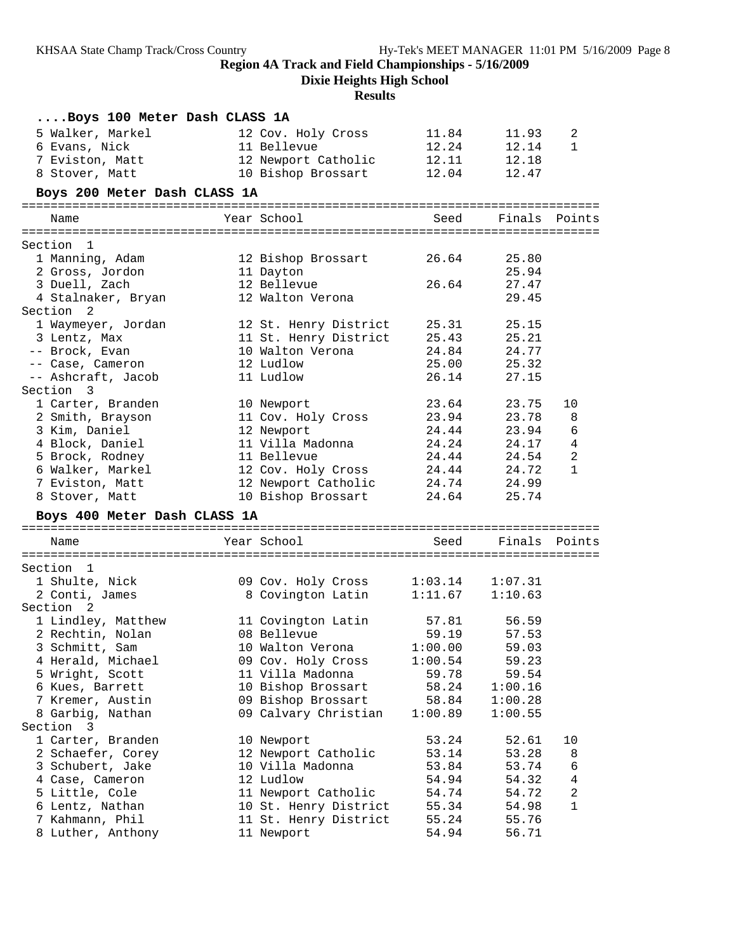**Dixie Heights High School**

# **Results**

| Boys 100 Meter Dash CLASS 1A      |                                           |                |                      |                         |
|-----------------------------------|-------------------------------------------|----------------|----------------------|-------------------------|
| 5 Walker, Markel                  | 12 Cov. Holy Cross                        | 11.84          | 11.93                | 2                       |
| 6 Evans, Nick                     | 11 Bellevue                               | 12.24          | 12.14                | $\mathbf{1}$            |
| 7 Eviston, Matt                   | 12 Newport Catholic                       | 12.11          | 12.18                |                         |
| 8 Stover, Matt                    | 10 Bishop Brossart                        | 12.04          | 12.47                |                         |
| Boys 200 Meter Dash CLASS 1A      |                                           |                |                      |                         |
| Name                              | Year School                               | Seed           | Finals Points        |                         |
|                                   |                                           |                |                      |                         |
| Section 1                         |                                           |                |                      |                         |
| 1 Manning, Adam                   | 12 Bishop Brossart                        | 26.64          | 25.80                |                         |
| 2 Gross, Jordon                   | 11 Dayton                                 |                | 25.94                |                         |
| 3 Duell, Zach                     | 12 Bellevue                               | 26.64          | 27.47                |                         |
| 4 Stalnaker, Bryan                | 12 Walton Verona                          |                | 29.45                |                         |
| Section 2                         |                                           |                |                      |                         |
| 1 Waymeyer, Jordan                | 12 St. Henry District                     | 25.31          | 25.15                |                         |
| 3 Lentz, Max                      | 11 St. Henry District                     | 25.43          | 25.21                |                         |
| -- Brock, Evan                    | 10 Walton Verona                          | 24.84          | 24.77                |                         |
| -- Case, Cameron                  | 12 Ludlow                                 | 25.00          | 25.32                |                         |
| -- Ashcraft, Jacob                | 11 Ludlow                                 | 26.14          | 27.15                |                         |
| Section 3                         |                                           |                |                      |                         |
| 1 Carter, Branden                 | 10 Newport                                | 23.64          | 23.75                | 10                      |
| 2 Smith, Brayson                  | 11 Cov. Holy Cross                        | 23.94<br>24.44 | 23.78                | 8                       |
| 3 Kim, Daniel                     | 12 Newport                                |                | 23.94                | 6                       |
| 4 Block, Daniel                   | 11 Villa Madonna                          | 24.24          | 24.17                | $\overline{4}$          |
| 5 Brock, Rodney                   | 11 Bellevue                               | 24.44          | 24.54                | $\overline{2}$          |
| 6 Walker, Markel                  | 12 Cov. Holy Cross                        | 24.44          | 24.72                | 1                       |
| 7 Eviston, Matt<br>8 Stover, Matt | 12 Newport Catholic<br>10 Bishop Brossart | 24.74          | 24.99<br>24.64 25.74 |                         |
| Boys 400 Meter Dash CLASS 1A      |                                           |                |                      |                         |
|                                   |                                           |                |                      |                         |
| Name                              | Year School                               | Seed           | Finals Points        |                         |
|                                   |                                           |                |                      |                         |
| Section 1                         |                                           |                |                      |                         |
| 1 Shulte, Nick                    | 09 Cov. Holy Cross 1:03.14                |                | 1:07.31              |                         |
| 2 Conti, James                    | 8 Covington Latin                         |                | $1:11.67$ $1:10.63$  |                         |
| Section 2                         |                                           |                |                      |                         |
| 1 Lindley, Matthew                | 11 Covington Latin                        |                | 57.81 56.59          |                         |
| 2 Rechtin, Nolan                  | 08 Bellevue                               | 59.19          | 57.53                |                         |
| 3 Schmitt, Sam                    | 10 Walton Verona                          | 1:00.00        | 59.03                |                         |
| 4 Herald, Michael                 | 09 Cov. Holy Cross                        | 1:00.54        | 59.23                |                         |
| 5 Wright, Scott                   | 11 Villa Madonna                          | 59.78          | 59.54                |                         |
| 6 Kues, Barrett                   | 10 Bishop Brossart                        | 58.24          | 1:00.16              |                         |
| 7 Kremer, Austin                  | 09 Bishop Brossart                        | 58.84          | 1:00.28              |                         |
| 8 Garbig, Nathan                  | 09 Calvary Christian                      | 1:00.89        | 1:00.55              |                         |
| Section 3                         |                                           |                |                      |                         |
| 1 Carter, Branden                 | 10 Newport                                | 53.24          | 52.61                | 10                      |
| 2 Schaefer, Corey                 | 12 Newport Catholic                       | 53.14          | 53.28                | 8                       |
| 3 Schubert, Jake                  | 10 Villa Madonna                          | 53.84          | 53.74                | 6                       |
| 4 Case, Cameron                   | 12 Ludlow                                 | 54.94          | 54.32                | $\overline{\mathbf{4}}$ |
| 5 Little, Cole                    | 11 Newport Catholic                       | 54.74          | 54.72                | 2                       |
| 6 Lentz, Nathan                   | 10 St. Henry District                     | 55.34          | 54.98                | 1                       |
| 7 Kahmann, Phil                   | 11 St. Henry District                     | 55.24          | 55.76                |                         |
| 8 Luther, Anthony                 | 11 Newport                                | 54.94          | 56.71                |                         |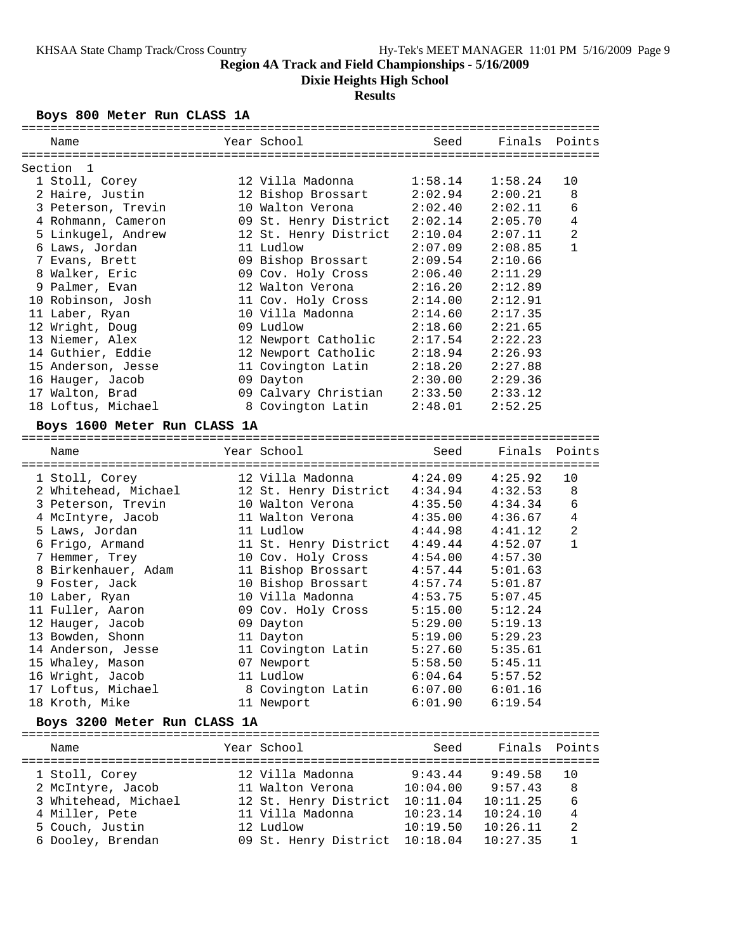**Dixie Heights High School**

### **Results**

### **Boys 800 Meter Run CLASS 1A**

| Name                         | Year School                   | Seed     | Finals Points |                |
|------------------------------|-------------------------------|----------|---------------|----------------|
| Section<br>-1                |                               |          |               |                |
| 1 Stoll, Corey               | 12 Villa Madonna              | 1:58.14  | 1:58.24       | 10             |
| 2 Haire, Justin              | 12 Bishop Brossart            | 2:02.94  | 2:00.21       | 8              |
| 3 Peterson, Trevin           | 10 Walton Verona              | 2:02.40  | 2:02.11       | 6              |
| 4 Rohmann, Cameron           | 09 St. Henry District         | 2:02.14  | 2:05.70       | $\overline{4}$ |
| 5 Linkugel, Andrew           | 12 St. Henry District         | 2:10.04  | 2:07.11       | $\overline{2}$ |
| 6 Laws, Jordan               | 11 Ludlow                     | 2:07.09  | 2:08.85       | $\mathbf{1}$   |
| 7 Evans, Brett               | 09 Bishop Brossart            | 2:09.54  | 2:10.66       |                |
| 8 Walker, Eric               | 09 Cov. Holy Cross            | 2:06.40  | 2:11.29       |                |
| 9 Palmer, Evan               | 12 Walton Verona              | 2:16.20  | 2:12.89       |                |
| 10 Robinson, Josh            | 11 Cov. Holy Cross            | 2:14.00  | 2:12.91       |                |
| 11 Laber, Ryan               | 10 Villa Madonna              | 2:14.60  | 2:17.35       |                |
|                              | 09 Ludlow                     |          |               |                |
| 12 Wright, Doug              |                               | 2:18.60  | 2:21.65       |                |
| 13 Niemer, Alex              | 12 Newport Catholic           | 2:17.54  | 2:22.23       |                |
| 14 Guthier, Eddie            | 12 Newport Catholic           | 2:18.94  | 2:26.93       |                |
| 15 Anderson, Jesse           | 11 Covington Latin            | 2:18.20  | 2:27.88       |                |
| 16 Hauger, Jacob             | 09 Dayton                     | 2:30.00  | 2:29.36       |                |
| 17 Walton, Brad              | 09 Calvary Christian          | 2:33.50  | 2:33.12       |                |
| 18 Loftus, Michael           | 8 Covington Latin             | 2:48.01  | 2:52.25       |                |
| Boys 1600 Meter Run CLASS 1A |                               |          |               |                |
| Name                         | Year School                   | Seed     | Finals        | Points         |
|                              |                               |          |               |                |
| 1 Stoll, Corey               | 12 Villa Madonna              | 4:24.09  | 4:25.92       | 10             |
| 2 Whitehead, Michael         | 12 St. Henry District 4:34.94 |          | 4:32.53       | 8              |
| 3 Peterson, Trevin           | 10 Walton Verona              | 4:35.50  | 4:34.34       | $\epsilon$     |
| 4 McIntyre, Jacob            | 11 Walton Verona              | 4:35.00  | 4:36.67       | $\overline{4}$ |
| 5 Laws, Jordan               | 11 Ludlow                     | 4:44.98  | 4:41.12       | $\overline{2}$ |
| 6 Frigo, Armand              | 11 St. Henry District 4:49.44 |          | 4:52.07       | $\mathbf{1}$   |
| 7 Hemmer, Trey               | 10 Cov. Holy Cross            | 4:54.00  | 4:57.30       |                |
| 8 Birkenhauer, Adam          | 11 Bishop Brossart            | 4:57.44  | 5:01.63       |                |
| 9 Foster, Jack               | 10 Bishop Brossart            | 4:57.74  | 5:01.87       |                |
| 10 Laber, Ryan               | 10 Villa Madonna              | 4:53.75  | 5:07.45       |                |
| 11 Fuller, Aaron             | 09 Cov. Holy Cross            | 5:15.00  | 5:12.24       |                |
| 12 Hauger, Jacob             | 09 Dayton                     | 5:29.00  | 5:19.13       |                |
| 13 Bowden, Shonn             | 11 Dayton                     | 5:19.00  | 5:29.23       |                |
| 14 Anderson, Jesse           | 11 Covington Latin            | 5:27.60  | 5:35.61       |                |
| 15 Whaley, Mason             | 07 Newport                    | 5:58.50  | 5:45.11       |                |
| 16 Wright, Jacob             | 11 Ludlow                     | 6:04.64  | 5:57.52       |                |
| 17 Loftus, Michael           | 8 Covington Latin             | 6:07.00  | 6:01.16       |                |
| 18 Kroth, Mike               | 11 Newport                    | 6:01.90  | 6:19.54       |                |
| Boys 3200 Meter Run CLASS 1A |                               |          |               |                |
|                              | Year School                   | Seed     | Finals        |                |
| Name                         |                               |          |               | Points         |
| 1 Stoll, Corey               | 12 Villa Madonna              | 9:43.44  | 9:49.58       | 10             |
| 2 McIntyre, Jacob            | 11 Walton Verona              | 10:04.00 | 9:57.43       | 8              |
| 3 Whitehead, Michael         | 12 St. Henry District         | 10:11.04 | 10:11.25      | 6              |
| 4 Miller, Pete               | 11 Villa Madonna              | 10:23.14 | 10:24.10      | 4              |

 5 Couch, Justin 12 Ludlow 10:19.50 10:26.11 2 6 Dooley, Brendan 09 St. Henry District 10:18.04 10:27.35 1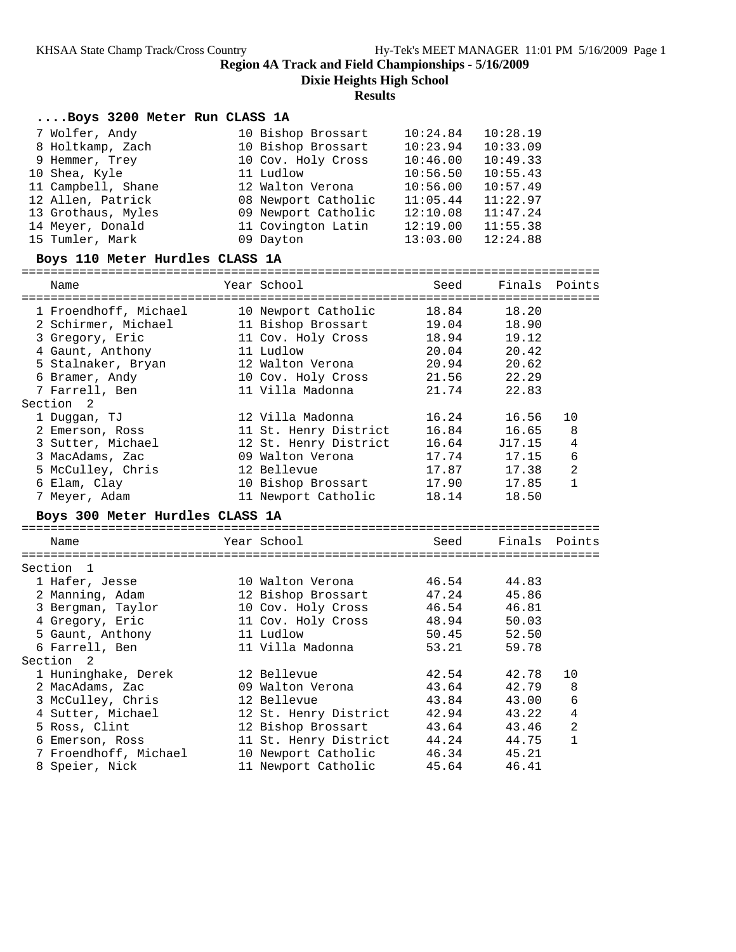**Dixie Heights High School**

**Results**

### **....Boys 3200 Meter Run CLASS 1A**

| 7 Wolfer, Andy     | 10 Bishop Brossart  | 10:24.84 | 10:28.19 |
|--------------------|---------------------|----------|----------|
| 8 Holtkamp, Zach   | 10 Bishop Brossart  | 10:23.94 | 10:33.09 |
| 9 Hemmer, Trey     | 10 Cov. Holy Cross  | 10:46.00 | 10:49.33 |
| 10 Shea, Kyle      | 11 Ludlow           | 10:56.50 | 10:55.43 |
| 11 Campbell, Shane | 12 Walton Verona    | 10:56.00 | 10:57.49 |
| 12 Allen, Patrick  | 08 Newport Catholic | 11:05.44 | 11:22.97 |
| 13 Grothaus, Myles | 09 Newport Catholic | 12:10.08 | 11:47.24 |
| 14 Meyer, Donald   | 11 Covington Latin  | 12:19.00 | 11:55.38 |
| 15 Tumler, Mark    | 09 Dayton           | 13:03.00 | 12:24.88 |

#### **Boys 110 Meter Hurdles CLASS 1A**

| Points<br>----------<br>10 |
|----------------------------|
|                            |
|                            |
|                            |
|                            |
|                            |
|                            |
|                            |
|                            |
|                            |
|                            |
|                            |
| 8                          |
| $\overline{4}$             |
| 6                          |
| $\overline{2}$             |
| $\mathbf{1}$               |
|                            |
|                            |
|                            |
| Points                     |
|                            |
|                            |
|                            |
|                            |
|                            |
|                            |
|                            |
|                            |
|                            |
|                            |
| 10                         |
| 8                          |
| 6                          |
| $\overline{4}$             |
| $\overline{a}$             |
| $\mathbf{1}$               |
|                            |
|                            |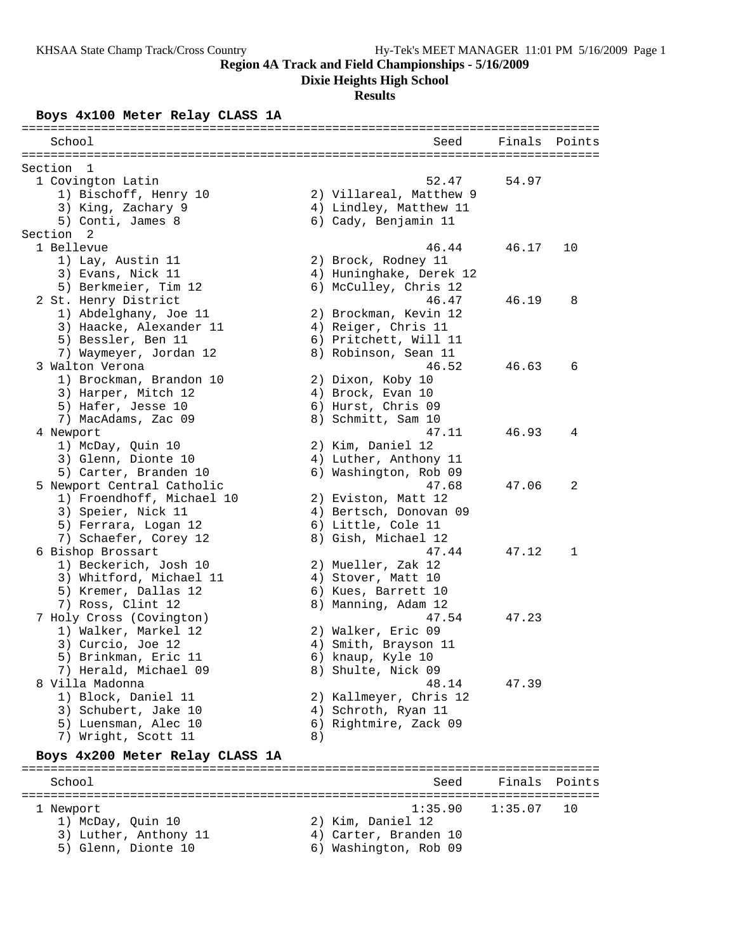**Dixie Heights High School**

## **Results**

### **Boys 4x100 Meter Relay CLASS 1A**

| =======================                    |    |                              |         |        |
|--------------------------------------------|----|------------------------------|---------|--------|
| School                                     |    | Seed                         | Finals  | Points |
| Section<br>-1                              |    |                              |         |        |
| 1 Covington Latin                          |    | 52.47                        | 54.97   |        |
| 1) Bischoff, Henry 10                      |    | 2) Villareal, Matthew 9      |         |        |
| 3) King, Zachary 9                         |    | 4) Lindley, Matthew 11       |         |        |
| 5) Conti, James 8                          |    | 6) Cady, Benjamin 11         |         |        |
| Section<br>- 2                             |    |                              |         |        |
| 1 Bellevue                                 |    | 46.44                        | 46.17   | 10     |
| 1) Lay, Austin 11                          |    | 2) Brock, Rodney 11          |         |        |
| 3) Evans, Nick 11                          |    | 4) Huninghake, Derek 12      |         |        |
| 5) Berkmeier, Tim 12                       |    | 6) McCulley, Chris 12        |         |        |
| 2 St. Henry District                       |    | 46.47                        | 46.19   | 8      |
| 1) Abdelghany, Joe 11                      |    | 2) Brockman, Kevin 12        |         |        |
| 3) Haacke, Alexander 11                    |    | 4) Reiger, Chris 11          |         |        |
| 5) Bessler, Ben 11                         |    | 6) Pritchett, Will 11        |         |        |
| 7) Waymeyer, Jordan 12                     |    | 8) Robinson, Sean 11         |         |        |
| 3 Walton Verona                            |    | 46.52                        | 46.63   | 6      |
| 1) Brockman, Brandon 10                    |    | 2) Dixon, Koby 10            |         |        |
| 3) Harper, Mitch 12                        |    | 4) Brock, Evan 10            |         |        |
| 5) Hafer, Jesse 10                         |    | 6) Hurst, Chris 09           |         |        |
| 7) MacAdams, Zac 09                        |    | 8) Schmitt, Sam 10           |         |        |
| 4 Newport                                  |    | 47.11                        | 46.93   | 4      |
| 1) McDay, Quin 10                          |    | 2) Kim, Daniel 12            |         |        |
| 3) Glenn, Dionte 10                        |    | 4) Luther, Anthony 11        |         |        |
| 5) Carter, Branden 10                      |    | 6) Washington, Rob 09        |         |        |
| 5 Newport Central Catholic                 |    | 47.68                        | 47.06   | 2      |
| 1) Froendhoff, Michael 10                  |    | 2) Eviston, Matt 12          |         |        |
| 3) Speier, Nick 11                         |    | 4) Bertsch, Donovan 09       |         |        |
| 5) Ferrara, Logan 12                       |    | 6) Little, Cole 11           |         |        |
| 7) Schaefer, Corey 12                      |    | 8) Gish, Michael 12<br>47.44 |         | 1      |
| 6 Bishop Brossart<br>1) Beckerich, Josh 10 |    | 2) Mueller, Zak 12           | 47.12   |        |
| 3) Whitford, Michael 11                    |    | 4) Stover, Matt 10           |         |        |
| 5) Kremer, Dallas 12                       |    | 6) Kues, Barrett 10          |         |        |
| 7) Ross, Clint 12                          |    | 8) Manning, Adam 12          |         |        |
| 7 Holy Cross (Covington)                   |    | 47.54                        | 47.23   |        |
| 1) Walker, Markel 12                       |    | 2) Walker, Eric 09           |         |        |
| 3) Curcio, Joe 12                          |    | 4) Smith, Brayson 11         |         |        |
| 5) Brinkman, Eric 11                       |    | 6) knaup, Kyle 10            |         |        |
| 7) Herald, Michael 09                      |    | 8) Shulte, Nick 09           |         |        |
| 8 Villa Madonna                            |    | 48.14                        | 47.39   |        |
| 1) Block, Daniel 11                        |    | 2) Kallmeyer, Chris 12       |         |        |
| 3) Schubert, Jake 10                       |    | 4) Schroth, Ryan 11          |         |        |
| 5) Luensman, Alec 10                       |    | 6) Rightmire, Zack 09        |         |        |
| 7) Wright, Scott 11                        | 8) |                              |         |        |
| Boys 4x200 Meter Relay CLASS 1A            |    |                              |         |        |
|                                            |    |                              |         |        |
| School                                     |    | Seed                         | Finals  | Points |
| l Newport                                  |    | 1:35.90                      | 1:35.07 | 10     |
| 1) McDay, Quin 10                          |    | 2) Kim, Daniel 12            |         |        |
| 3) Luther, Anthony 11                      |    | 4) Carter, Branden 10        |         |        |
| 5) Glenn, Dionte 10                        |    | 6) Washington, Rob 09        |         |        |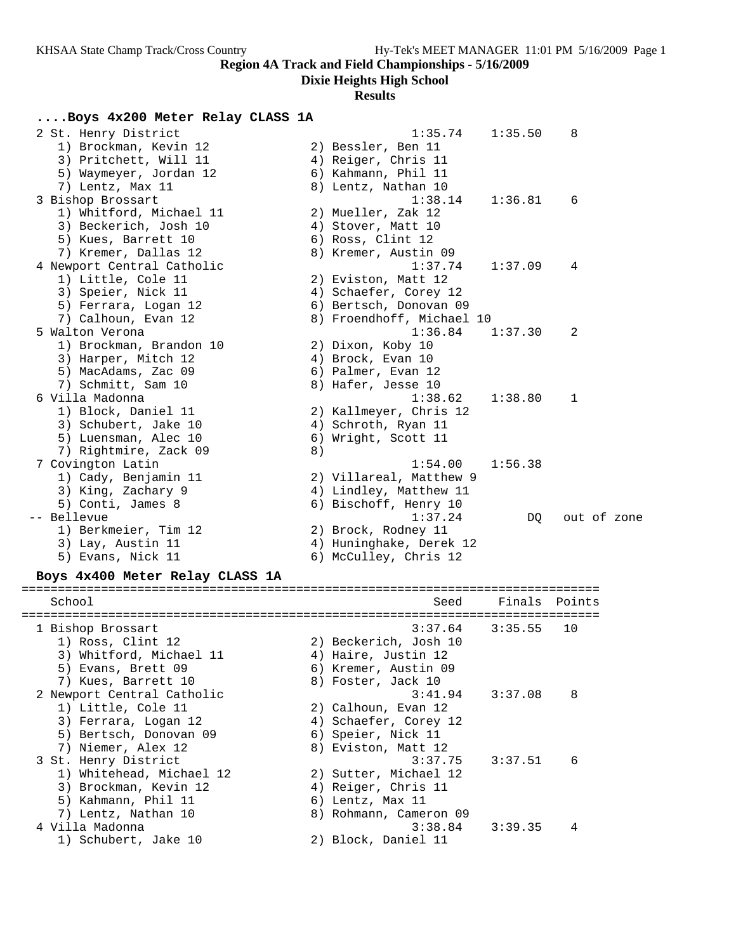**Dixie Heights High School**

# **Results**

## **....Boys 4x200 Meter Relay CLASS 1A**

| 2 St. Henry District<br>1) Brockman, Kevin 12<br>3) Pritchett, Will 11<br>5) Waymeyer, Jordan 12                |    | 1:35.74<br>2) Bessler, Ben 11<br>4) Reiger, Chris 11<br>6) Kahmann, Phil 11           | 1:35.50 | 8           |  |
|-----------------------------------------------------------------------------------------------------------------|----|---------------------------------------------------------------------------------------|---------|-------------|--|
| 7) Lentz, Max 11<br>3 Bishop Brossart<br>1) Whitford, Michael 11                                                |    | 8) Lentz, Nathan 10<br>1:38.14<br>2) Mueller, Zak 12                                  | 1:36.81 | 6           |  |
| 3) Beckerich, Josh 10<br>5) Kues, Barrett 10<br>7) Kremer, Dallas 12                                            |    | 4) Stover, Matt 10<br>6) Ross, Clint 12<br>8) Kremer, Austin 09                       |         |             |  |
| 4 Newport Central Catholic<br>1) Little, Cole 11<br>3) Speier, Nick 11<br>5) Ferrara, Logan 12                  |    | 1:37.74<br>2) Eviston, Matt 12<br>4) Schaefer, Corey 12<br>6) Bertsch, Donovan 09     | 1:37.09 | 4           |  |
| 7) Calhoun, Evan 12<br>5 Walton Verona                                                                          |    | 8) Froendhoff, Michael 10<br>1:36.84                                                  | 1:37.30 | 2           |  |
| 1) Brockman, Brandon 10<br>3) Harper, Mitch 12<br>5) MacAdams, Zac 09<br>7) Schmitt, Sam 10                     |    | 2) Dixon, Koby 10<br>4) Brock, Evan 10<br>6) Palmer, Evan 12<br>8) Hafer, Jesse 10    |         |             |  |
| 6 Villa Madonna<br>1) Block, Daniel 11<br>3) Schubert, Jake 10<br>5) Luensman, Alec 10<br>7) Rightmire, Zack 09 | 8) | 1:38.62<br>2) Kallmeyer, Chris 12<br>4) Schroth, Ryan 11<br>6) Wright, Scott 11       | 1:38.80 | 1           |  |
| 7 Covington Latin<br>1) Cady, Benjamin 11<br>3) King, Zachary 9<br>5) Conti, James 8                            |    | 1:54.00<br>2) Villareal, Matthew 9<br>4) Lindley, Matthew 11<br>6) Bischoff, Henry 10 | 1:56.38 |             |  |
| -- Bellevue<br>1) Berkmeier, Tim 12<br>3) Lay, Austin 11<br>5) Evans, Nick 11                                   |    | 1:37.24<br>2) Brock, Rodney 11<br>4) Huninghake, Derek 12<br>6) McCulley, Chris 12    | DO      | out of zone |  |
| Boys 4x400 Meter Relay CLASS 1A                                                                                 |    |                                                                                       |         |             |  |
| School                                                                                                          |    | Seed                                                                                  | Finals  | Points      |  |
| 1 Bishop Brossart<br>1) Ross, Clint 12<br>3) Whitford, Michael 11<br>5) Evans, Brett 09                         |    | 3:37.64<br>2) Beckerich, Josh 10<br>4) Haire, Justin 12<br>6) Kremer, Austin 09       | 3:35.55 | 10          |  |
| 7) Kues, Barrett 10<br>2 Newport Central Catholic<br>1) Little, Cole 11<br>3) Ferrara, Logan 12                 |    | 8) Foster, Jack 10<br>3:41.94<br>2) Calhoun, Evan 12<br>4) Schaefer, Corey 12         | 3:37.08 | 8           |  |
| 5) Bertsch, Donovan 09<br>7) Niemer, Alex 12<br>3 St. Henry District<br>1) Whitehead, Michael 12                |    | 6) Speier, Nick 11<br>8) Eviston, Matt 12<br>3:37.75<br>2) Sutter, Michael 12         | 3:37.51 | 6           |  |
| 3) Brockman, Kevin 12<br>5) Kahmann, Phil 11<br>7) Lentz, Nathan 10                                             |    | 4) Reiger, Chris 11<br>6) Lentz, Max 11<br>8) Rohmann, Cameron 09                     |         |             |  |
| 4 Villa Madonna<br>1) Schubert, Jake 10                                                                         |    | 3:38.84<br>2) Block, Daniel 11                                                        | 3:39.35 | 4           |  |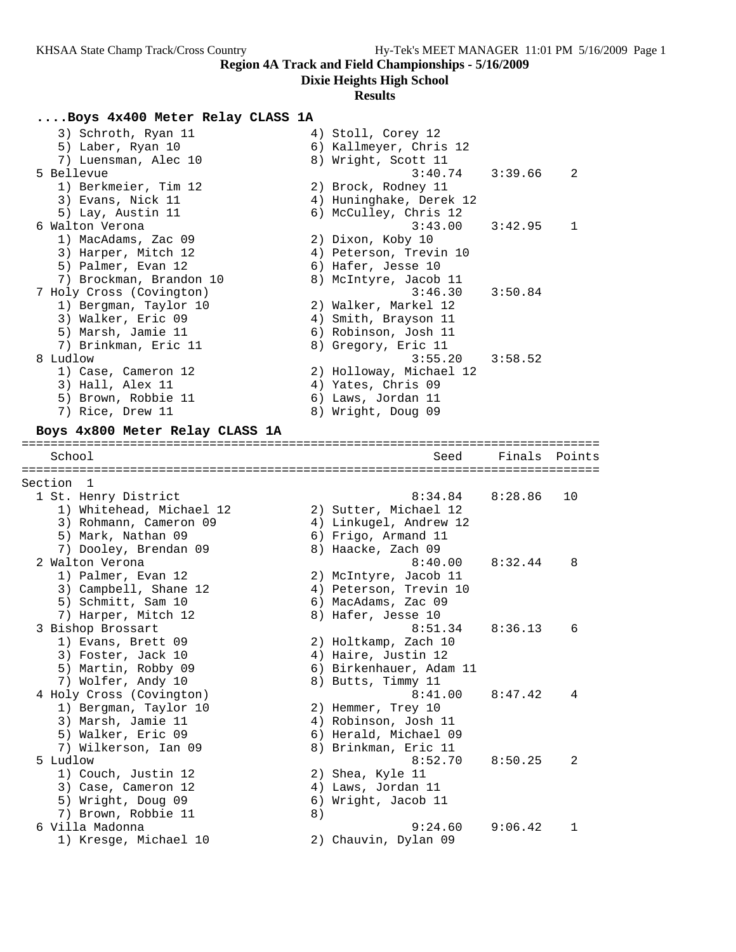**Dixie Heights High School**

# **Results**

## **....Boys 4x400 Meter Relay CLASS 1A**

|           | 3) Schroth, Ryan 11<br>5) Laber, Ryan 10<br>7) Luensman, Alec 10 |    | 4) Stoll, Corey 12<br>6) Kallmeyer, Chris 12<br>8) Wright, Scott 11 |         |        |
|-----------|------------------------------------------------------------------|----|---------------------------------------------------------------------|---------|--------|
|           | 5 Bellevue                                                       |    | 3:40.74                                                             | 3:39.66 | 2      |
|           | 1) Berkmeier, Tim 12                                             |    | 2) Brock, Rodney 11                                                 |         |        |
|           | 3) Evans, Nick 11                                                |    | 4) Huninghake, Derek 12                                             |         |        |
|           | 5) Lay, Austin 11                                                |    | 6) McCulley, Chris 12                                               |         |        |
|           | 6 Walton Verona                                                  |    | 3:43.00                                                             | 3:42.95 | 1      |
|           | 1) MacAdams, Zac 09                                              |    | 2) Dixon, Koby 10                                                   |         |        |
|           | 3) Harper, Mitch 12                                              |    | 4) Peterson, Trevin 10                                              |         |        |
|           | 5) Palmer, Evan 12                                               |    | 6) Hafer, Jesse 10                                                  |         |        |
|           | 7) Brockman, Brandon 10                                          |    |                                                                     |         |        |
|           |                                                                  |    | 8) McIntyre, Jacob 11<br>3:46.30                                    | 3:50.84 |        |
|           | 7 Holy Cross (Covington)                                         |    |                                                                     |         |        |
|           | 1) Bergman, Taylor 10                                            |    | 2) Walker, Markel 12                                                |         |        |
|           | 3) Walker, Eric 09                                               |    | 4) Smith, Brayson 11                                                |         |        |
|           | 5) Marsh, Jamie 11                                               |    | 6) Robinson, Josh 11                                                |         |        |
|           | 7) Brinkman, Eric 11                                             |    | 8) Gregory, Eric 11                                                 |         |        |
|           | 8 Ludlow                                                         |    | 3:55.20                                                             | 3:58.52 |        |
|           | 1) Case, Cameron 12                                              |    | 2) Holloway, Michael 12                                             |         |        |
|           | 3) Hall, Alex 11                                                 |    | 4) Yates, Chris 09                                                  |         |        |
|           | 5) Brown, Robbie 11                                              |    | 6) Laws, Jordan 11                                                  |         |        |
|           | 7) Rice, Drew 11                                                 |    | 8) Wright, Doug 09                                                  |         |        |
|           | Boys 4x800 Meter Relay CLASS 1A                                  |    |                                                                     |         |        |
|           | School                                                           |    | Seed                                                                | Finals  |        |
|           |                                                                  |    |                                                                     |         | Points |
| Section 1 |                                                                  |    |                                                                     |         |        |
|           |                                                                  |    | 8:34.84                                                             | 8:28.86 | 10     |
|           | 1 St. Henry District                                             |    |                                                                     |         |        |
|           | 1) Whitehead, Michael 12                                         |    | 2) Sutter, Michael 12                                               |         |        |
|           | 3) Rohmann, Cameron 09                                           |    | 4) Linkugel, Andrew 12                                              |         |        |
|           | 5) Mark, Nathan 09                                               |    | 6) Frigo, Armand 11                                                 |         |        |
|           | 7) Dooley, Brendan 09                                            |    | 8) Haacke, Zach 09                                                  |         |        |
|           | 2 Walton Verona                                                  |    | 8:40.00                                                             | 8:32.44 | 8      |
|           | 1) Palmer, Evan 12                                               |    | 2) McIntyre, Jacob 11                                               |         |        |
|           | 3) Campbell, Shane 12                                            |    | 4) Peterson, Trevin 10                                              |         |        |
|           | 5) Schmitt, Sam 10                                               |    | 6) MacAdams, Zac 09                                                 |         |        |
|           | 7) Harper, Mitch 12                                              |    | 8) Hafer, Jesse 10                                                  |         |        |
|           | 3 Bishop Brossart                                                |    | 8:51.34                                                             | 8:36.13 | 6      |
|           | 1) Evans, Brett 09                                               |    | 2) Holtkamp, Zach 10                                                |         |        |
|           | 3) Foster, Jack 10                                               |    | 4) Haire, Justin 12                                                 |         |        |
|           | 5) Martin, Robby 09                                              |    | 6) Birkenhauer, Adam 11                                             |         |        |
|           | 7) Wolfer, Andy 10                                               |    | 8) Butts, Timmy 11                                                  |         |        |
|           | 4 Holy Cross (Covington)                                         |    | 8:41.00                                                             | 8:47.42 | 4      |
|           | 1) Bergman, Taylor 10                                            |    | 2) Hemmer, Trey 10                                                  |         |        |
|           | 3) Marsh, Jamie 11                                               |    | 4) Robinson, Josh 11                                                |         |        |
|           | 5) Walker, Eric 09                                               |    | 6) Herald, Michael 09                                               |         |        |
|           | 7) Wilkerson, Ian 09                                             |    | 8) Brinkman, Eric 11                                                |         |        |
|           | 5 Ludlow                                                         |    | 8:52.70                                                             | 8:50.25 | 2      |
|           | 1) Couch, Justin 12                                              |    | 2) Shea, Kyle 11                                                    |         |        |
|           | 3) Case, Cameron 12                                              |    | 4) Laws, Jordan 11                                                  |         |        |
|           |                                                                  |    |                                                                     |         |        |
|           | 5) Wright, Doug 09                                               |    | 6) Wright, Jacob 11                                                 |         |        |
|           | 7) Brown, Robbie 11                                              | 8) |                                                                     |         |        |
|           | 6 Villa Madonna                                                  |    | 9:24.60                                                             | 9:06.42 | 1      |
|           | 1) Kresge, Michael 10                                            |    | 2) Chauvin, Dylan 09                                                |         |        |